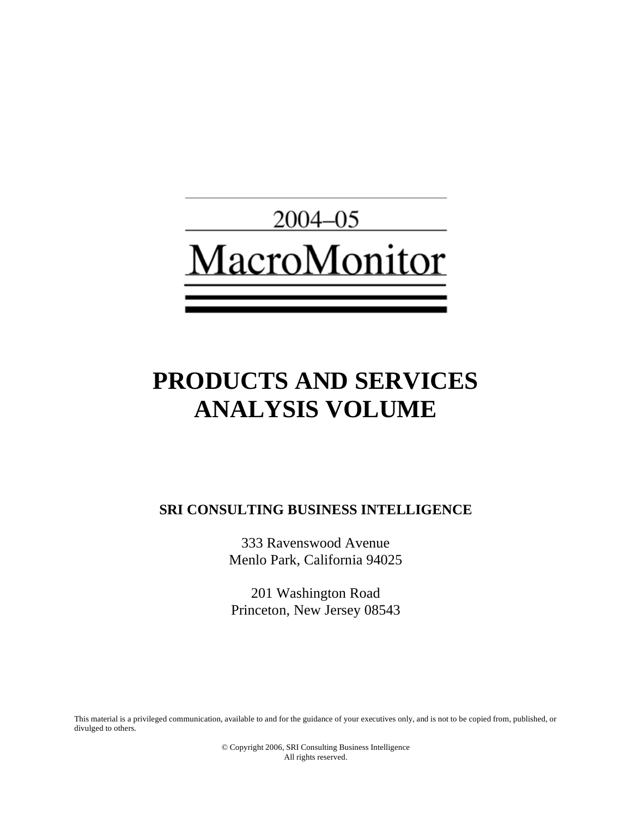

# **PRODUCTS AND SERVICES ANALYSIS VOLUME**

**SRI CONSULTING BUSINESS INTELLIGENCE** 

333 Ravenswood Avenue Menlo Park, California 94025

201 Washington Road Princeton, New Jersey 08543

This material is a privileged communication, available to and for the guidance of your executives only, and is not to be copied from, published, or divulged to others.

> © Copyright 2006, SRI Consulting Business Intelligence All rights reserved.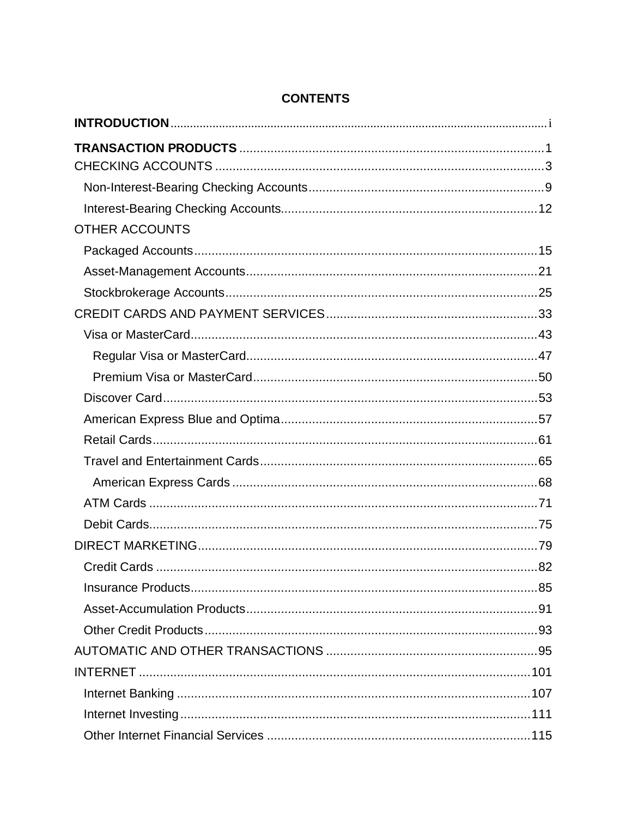| <b>OTHER ACCOUNTS</b> |  |
|-----------------------|--|
|                       |  |
|                       |  |
|                       |  |
|                       |  |
|                       |  |
|                       |  |
|                       |  |
|                       |  |
|                       |  |
|                       |  |
|                       |  |
|                       |  |
|                       |  |
|                       |  |
|                       |  |
|                       |  |
|                       |  |
|                       |  |
|                       |  |
|                       |  |
|                       |  |
|                       |  |
|                       |  |
|                       |  |

# **CONTENTS**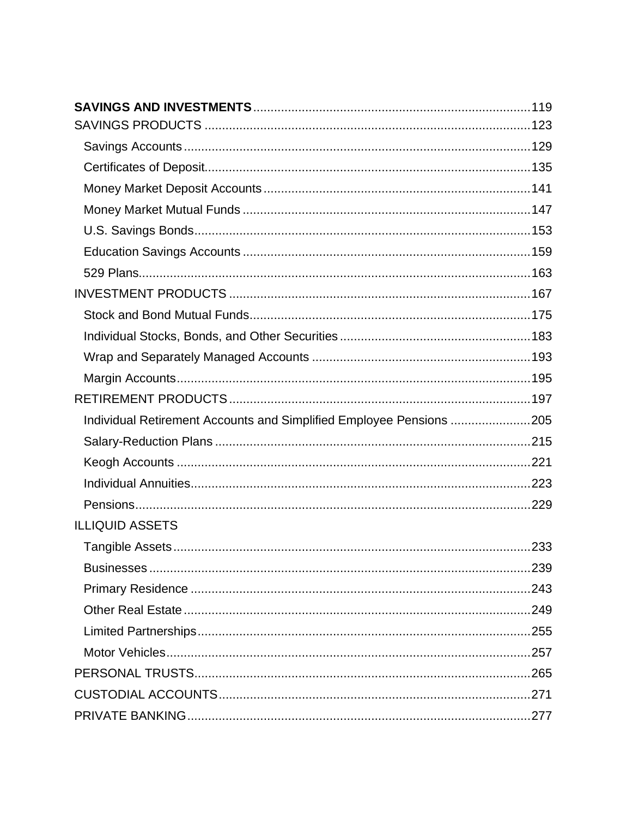| Individual Retirement Accounts and Simplified Employee Pensions 205 |  |
|---------------------------------------------------------------------|--|
|                                                                     |  |
|                                                                     |  |
|                                                                     |  |
|                                                                     |  |
| <b>ILLIQUID ASSETS</b>                                              |  |
|                                                                     |  |
|                                                                     |  |
|                                                                     |  |
|                                                                     |  |
|                                                                     |  |
|                                                                     |  |
|                                                                     |  |
|                                                                     |  |
|                                                                     |  |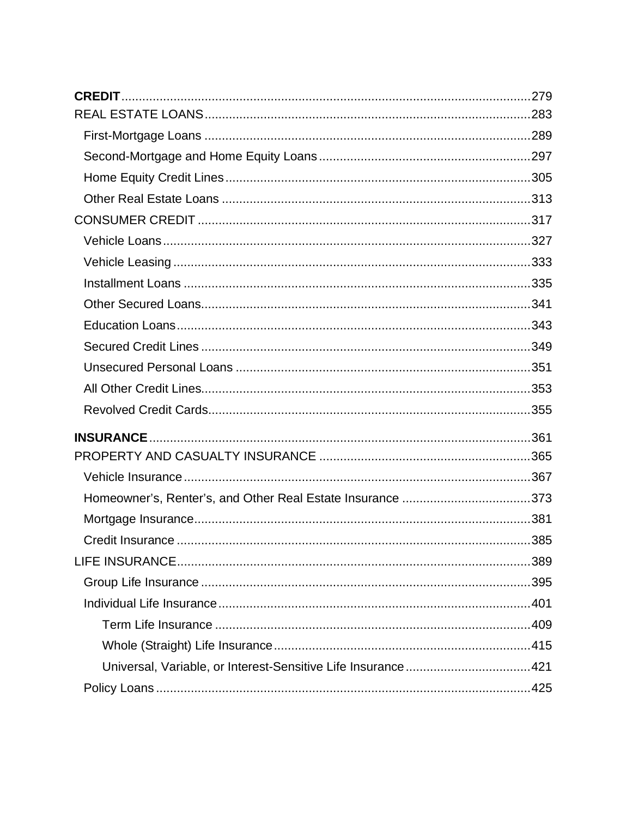| Homeowner's, Renter's, and Other Real Estate Insurance 373   |  |
|--------------------------------------------------------------|--|
|                                                              |  |
|                                                              |  |
|                                                              |  |
|                                                              |  |
|                                                              |  |
|                                                              |  |
|                                                              |  |
| Universal, Variable, or Interest-Sensitive Life Insurance421 |  |
|                                                              |  |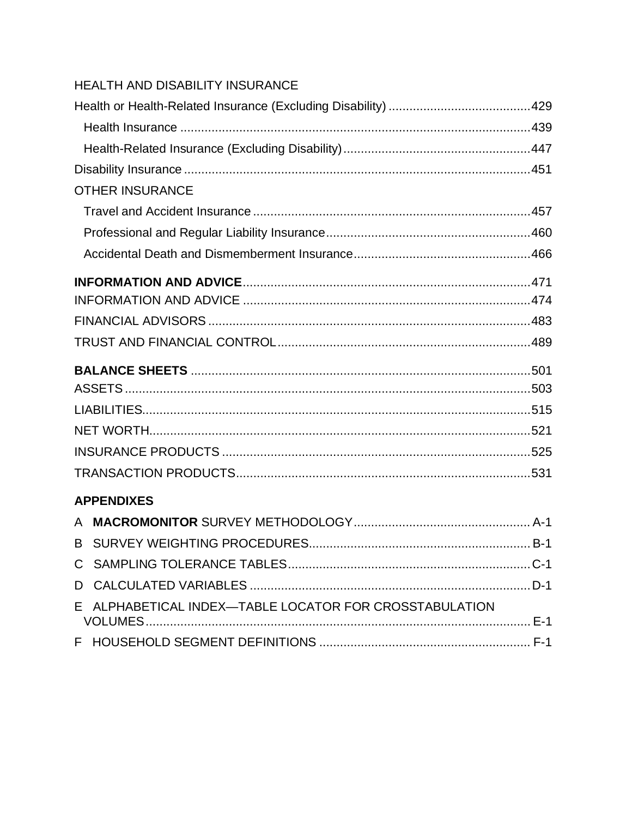|   | HEALTH AND DISABILITY INSURANCE                      |  |
|---|------------------------------------------------------|--|
|   |                                                      |  |
|   |                                                      |  |
|   |                                                      |  |
|   |                                                      |  |
|   | <b>OTHER INSURANCE</b>                               |  |
|   |                                                      |  |
|   |                                                      |  |
|   |                                                      |  |
|   |                                                      |  |
|   |                                                      |  |
|   |                                                      |  |
|   |                                                      |  |
|   |                                                      |  |
|   |                                                      |  |
|   |                                                      |  |
|   |                                                      |  |
|   |                                                      |  |
|   |                                                      |  |
|   | <b>APPENDIXES</b>                                    |  |
|   |                                                      |  |
|   |                                                      |  |
|   |                                                      |  |
| D |                                                      |  |
|   | ALPHABETICAL INDEX-TABLE LOCATOR FOR CROSSTABULATION |  |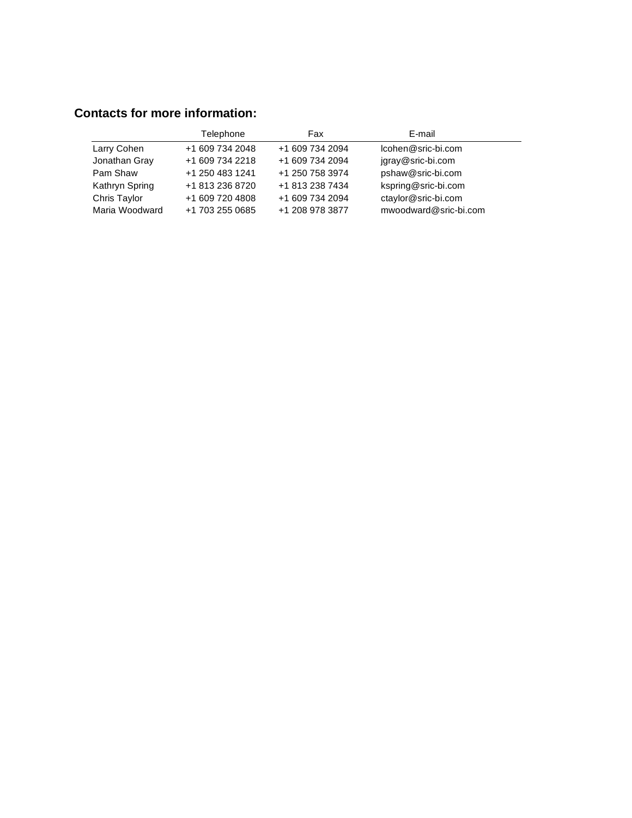# **Contacts for more information:**

|                | Telephone       | Fax             | E-mail                |
|----------------|-----------------|-----------------|-----------------------|
| Larry Cohen    | +1 609 734 2048 | +1 609 734 2094 | Icohen@sric-bi.com    |
| Jonathan Gray  | +1 609 734 2218 | +1 609 734 2094 | jgray@sric-bi.com     |
| Pam Shaw       | +1 250 483 1241 | +1 250 758 3974 | pshaw@sric-bi.com     |
| Kathryn Spring | +1 813 236 8720 | +1 813 238 7434 | kspring@sric-bi.com   |
| Chris Taylor   | +1 609 720 4808 | +1 609 734 2094 | ctaylor@sric-bi.com   |
| Maria Woodward | +1 703 255 0685 | +1 208 978 3877 | mwoodward@sric-bi.com |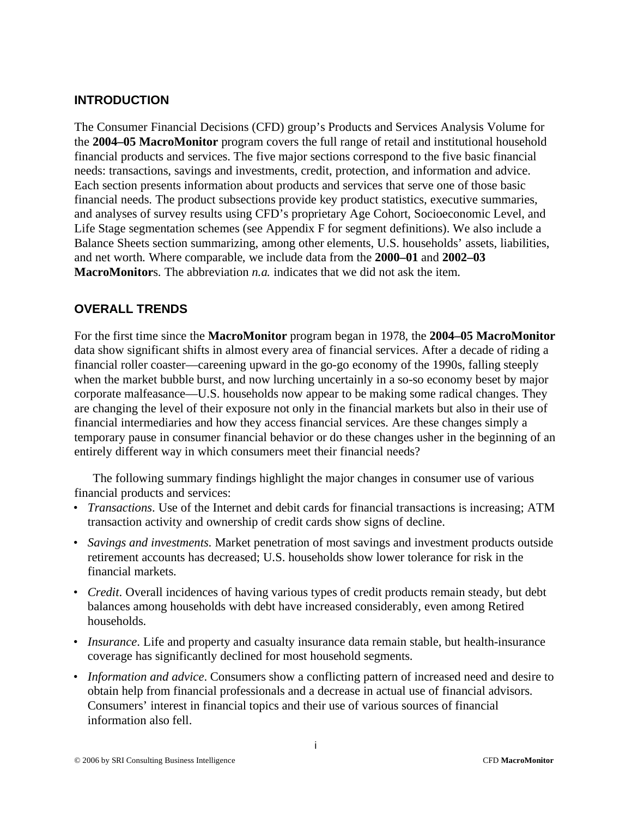## **INTRODUCTION**

The Consumer Financial Decisions (CFD) group's Products and Services Analysis Volume for the **2004–05 MacroMonitor** program covers the full range of retail and institutional household financial products and services. The five major sections correspond to the five basic financial needs: transactions, savings and investments, credit, protection, and information and advice. Each section presents information about products and services that serve one of those basic financial needs. The product subsections provide key product statistics, executive summaries, and analyses of survey results using CFD's proprietary Age Cohort, Socioeconomic Level, and Life Stage segmentation schemes (see Appendix F for segment definitions). We also include a Balance Sheets section summarizing, among other elements, U.S. households' assets, liabilities, and net worth. Where comparable, we include data from the **2000–01** and **2002–03 MacroMonitor**s. The abbreviation *n.a.* indicates that we did not ask the item.

# **OVERALL TRENDS**

For the first time since the **MacroMonitor** program began in 1978, the **2004–05 MacroMonitor** data show significant shifts in almost every area of financial services. After a decade of riding a financial roller coaster—careening upward in the go-go economy of the 1990s, falling steeply when the market bubble burst, and now lurching uncertainly in a so-so economy beset by major corporate malfeasance—U.S. households now appear to be making some radical changes. They are changing the level of their exposure not only in the financial markets but also in their use of financial intermediaries and how they access financial services. Are these changes simply a temporary pause in consumer financial behavior or do these changes usher in the beginning of an entirely different way in which consumers meet their financial needs?

The following summary findings highlight the major changes in consumer use of various financial products and services:

- *Transactions*. Use of the Internet and debit cards for financial transactions is increasing; ATM transaction activity and ownership of credit cards show signs of decline.
- *Savings and investments*. Market penetration of most savings and investment products outside retirement accounts has decreased; U.S. households show lower tolerance for risk in the financial markets.
- *Credit*. Overall incidences of having various types of credit products remain steady, but debt balances among households with debt have increased considerably, even among Retired households.
- *Insurance*. Life and property and casualty insurance data remain stable, but health-insurance coverage has significantly declined for most household segments.
- *Information and advice*. Consumers show a conflicting pattern of increased need and desire to obtain help from financial professionals and a decrease in actual use of financial advisors. Consumers' interest in financial topics and their use of various sources of financial information also fell.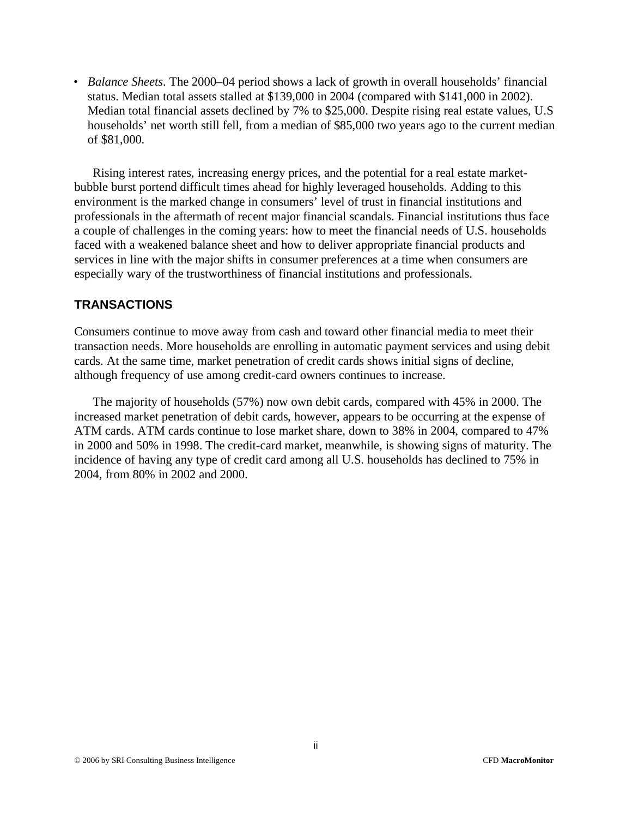• *Balance Sheets*. The 2000–04 period shows a lack of growth in overall households' financial status. Median total assets stalled at \$139,000 in 2004 (compared with \$141,000 in 2002). Median total financial assets declined by 7% to \$25,000. Despite rising real estate values, U.S households' net worth still fell, from a median of \$85,000 two years ago to the current median of \$81,000.

Rising interest rates, increasing energy prices, and the potential for a real estate marketbubble burst portend difficult times ahead for highly leveraged households. Adding to this environment is the marked change in consumers' level of trust in financial institutions and professionals in the aftermath of recent major financial scandals. Financial institutions thus face a couple of challenges in the coming years: how to meet the financial needs of U.S. households faced with a weakened balance sheet and how to deliver appropriate financial products and services in line with the major shifts in consumer preferences at a time when consumers are especially wary of the trustworthiness of financial institutions and professionals.

# **TRANSACTIONS**

Consumers continue to move away from cash and toward other financial media to meet their transaction needs. More households are enrolling in automatic payment services and using debit cards. At the same time, market penetration of credit cards shows initial signs of decline, although frequency of use among credit-card owners continues to increase.

The majority of households (57%) now own debit cards, compared with 45% in 2000. The increased market penetration of debit cards, however, appears to be occurring at the expense of ATM cards. ATM cards continue to lose market share, down to 38% in 2004, compared to 47% in 2000 and 50% in 1998. The credit-card market, meanwhile, is showing signs of maturity. The incidence of having any type of credit card among all U.S. households has declined to 75% in 2004, from 80% in 2002 and 2000.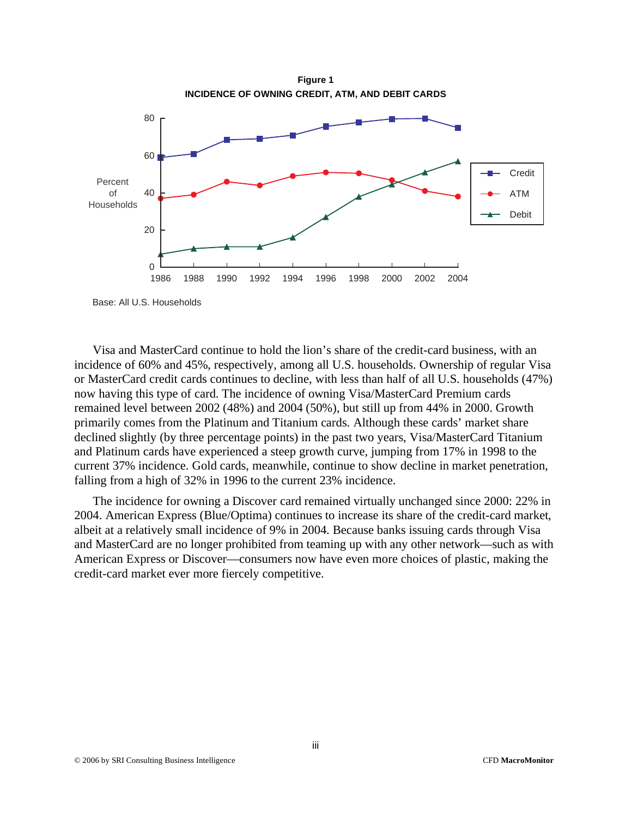

Base: All U.S. Households

Visa and MasterCard continue to hold the lion's share of the credit-card business, with an incidence of 60% and 45%, respectively, among all U.S. households. Ownership of regular Visa or MasterCard credit cards continues to decline, with less than half of all U.S. households (47%) now having this type of card. The incidence of owning Visa/MasterCard Premium cards remained level between 2002 (48%) and 2004 (50%), but still up from 44% in 2000. Growth primarily comes from the Platinum and Titanium cards. Although these cards' market share declined slightly (by three percentage points) in the past two years, Visa/MasterCard Titanium and Platinum cards have experienced a steep growth curve, jumping from 17% in 1998 to the current 37% incidence. Gold cards, meanwhile, continue to show decline in market penetration, falling from a high of 32% in 1996 to the current 23% incidence.

The incidence for owning a Discover card remained virtually unchanged since 2000: 22% in 2004. American Express (Blue/Optima) continues to increase its share of the credit-card market, albeit at a relatively small incidence of 9% in 2004. Because banks issuing cards through Visa and MasterCard are no longer prohibited from teaming up with any other network—such as with American Express or Discover—consumers now have even more choices of plastic, making the credit-card market ever more fiercely competitive.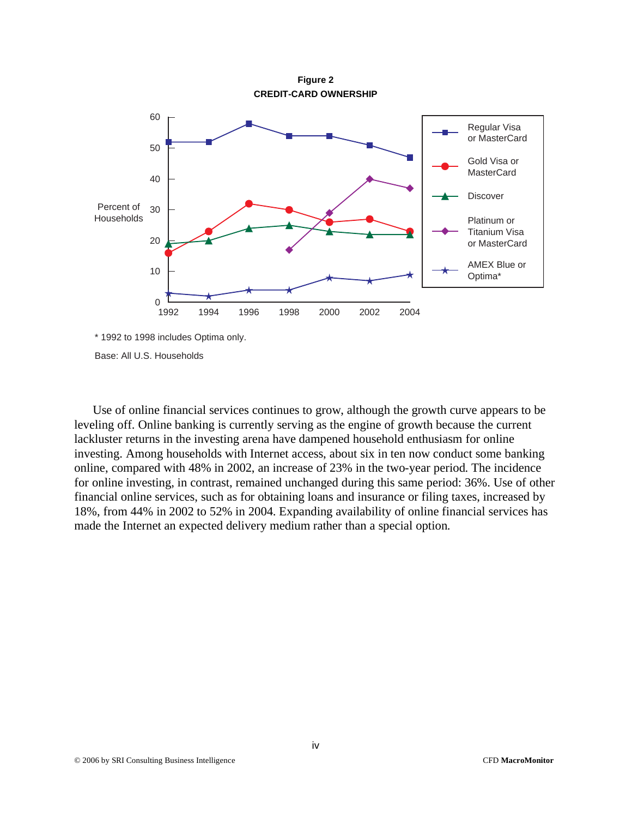

Base: All U.S. Households

Use of online financial services continues to grow, although the growth curve appears to be leveling off. Online banking is currently serving as the engine of growth because the current lackluster returns in the investing arena have dampened household enthusiasm for online investing. Among households with Internet access, about six in ten now conduct some banking online, compared with 48% in 2002, an increase of 23% in the two-year period. The incidence for online investing, in contrast, remained unchanged during this same period: 36%. Use of other financial online services, such as for obtaining loans and insurance or filing taxes, increased by 18%, from 44% in 2002 to 52% in 2004. Expanding availability of online financial services has made the Internet an expected delivery medium rather than a special option.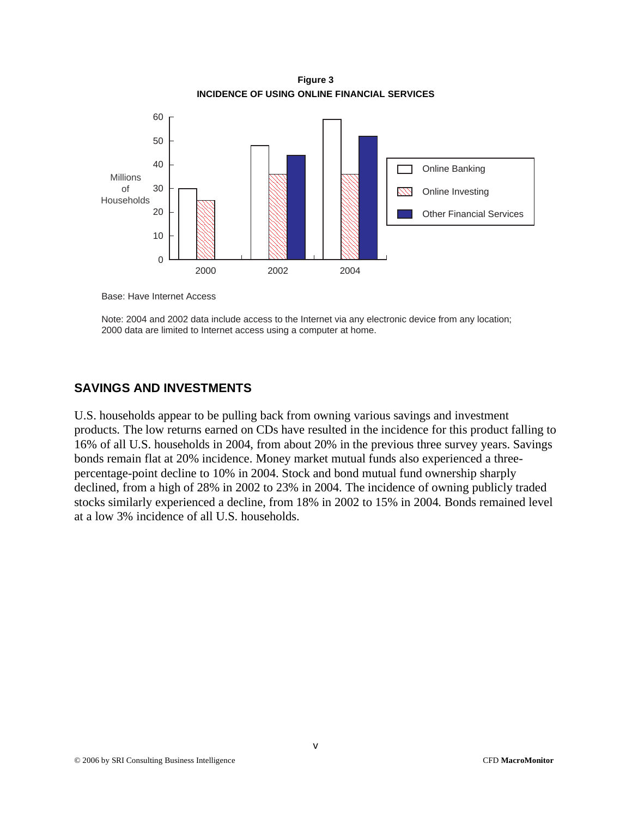**Figure 3 INCIDENCE OF USING ONLINE FINANCIAL SERVICES** 



Base: Have Internet Access

Note: 2004 and 2002 data include access to the Internet via any electronic device from any location; 2000 data are limited to Internet access using a computer at home.

#### **SAVINGS AND INVESTMENTS**

U.S. households appear to be pulling back from owning various savings and investment products. The low returns earned on CDs have resulted in the incidence for this product falling to 16% of all U.S. households in 2004, from about 20% in the previous three survey years. Savings bonds remain flat at 20% incidence. Money market mutual funds also experienced a threepercentage-point decline to 10% in 2004. Stock and bond mutual fund ownership sharply declined, from a high of 28% in 2002 to 23% in 2004. The incidence of owning publicly traded stocks similarly experienced a decline, from 18% in 2002 to 15% in 2004. Bonds remained level at a low 3% incidence of all U.S. households.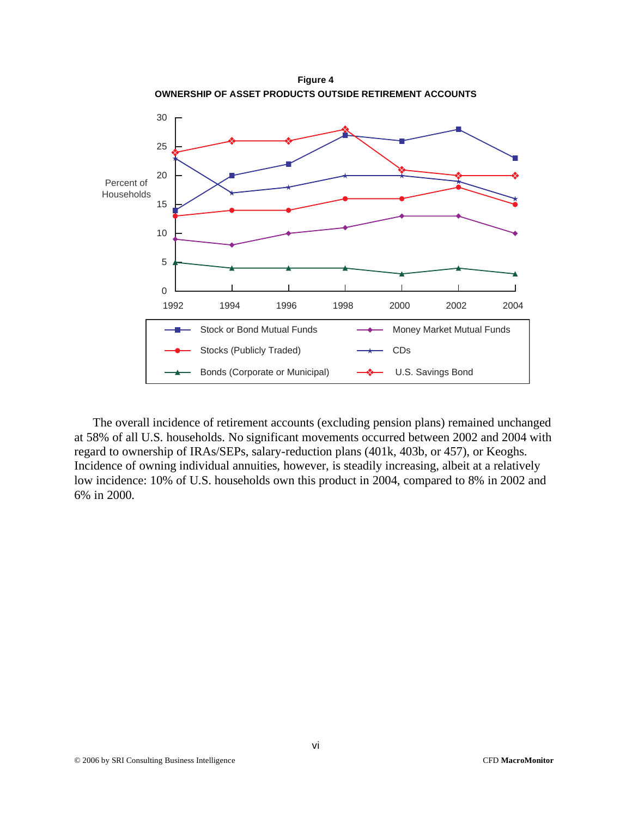

The overall incidence of retirement accounts (excluding pension plans) remained unchanged at 58% of all U.S. households. No significant movements occurred between 2002 and 2004 with regard to ownership of IRAs/SEPs, salary-reduction plans (401k, 403b, or 457), or Keoghs. Incidence of owning individual annuities, however, is steadily increasing, albeit at a relatively low incidence: 10% of U.S. households own this product in 2004, compared to 8% in 2002 and 6% in 2000.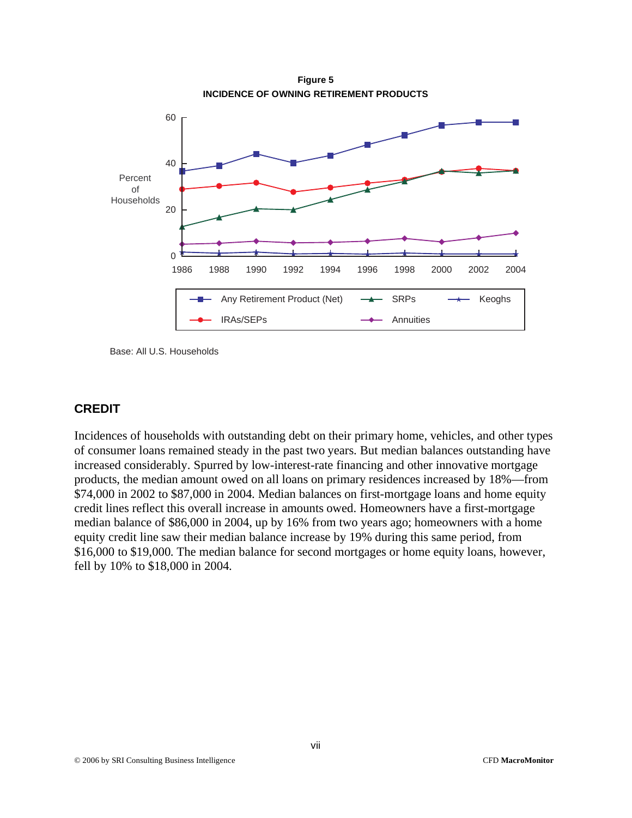

Base: All U.S. Households

# **CREDIT**

Incidences of households with outstanding debt on their primary home, vehicles, and other types of consumer loans remained steady in the past two years. But median balances outstanding have increased considerably. Spurred by low-interest-rate financing and other innovative mortgage products, the median amount owed on all loans on primary residences increased by 18%—from \$74,000 in 2002 to \$87,000 in 2004. Median balances on first-mortgage loans and home equity credit lines reflect this overall increase in amounts owed. Homeowners have a first-mortgage median balance of \$86,000 in 2004, up by 16% from two years ago; homeowners with a home equity credit line saw their median balance increase by 19% during this same period, from \$16,000 to \$19,000. The median balance for second mortgages or home equity loans, however, fell by 10% to \$18,000 in 2004.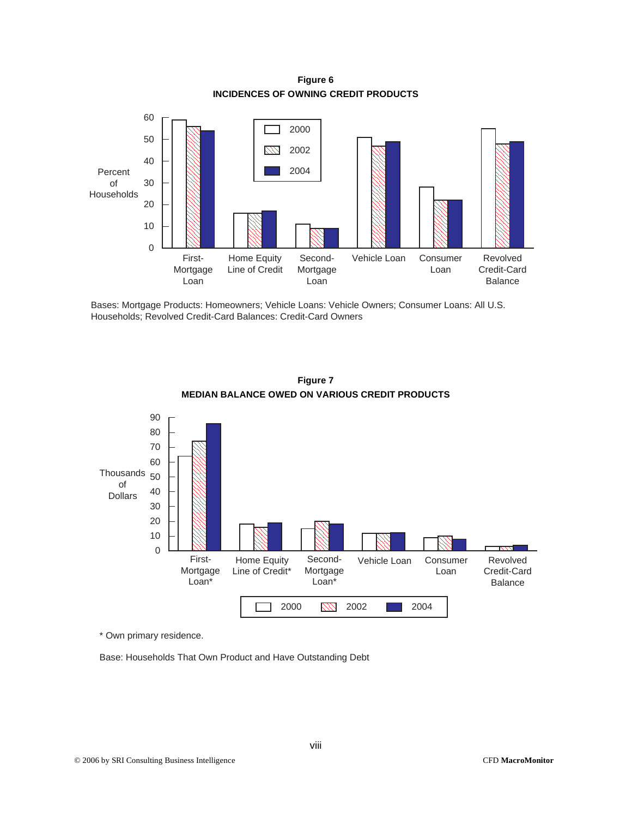**Figure 6 INCIDENCES OF OWNING CREDIT PRODUCTS** 



Bases: Mortgage Products: Homeowners; Vehicle Loans: Vehicle Owners; Consumer Loans: All U.S. Households; Revolved Credit-Card Balances: Credit-Card Owners



**Figure 7 MEDIAN BALANCE OWED ON VARIOUS CREDIT PRODUCTS** 

\* Own primary residence.

Base: Households That Own Product and Have Outstanding Debt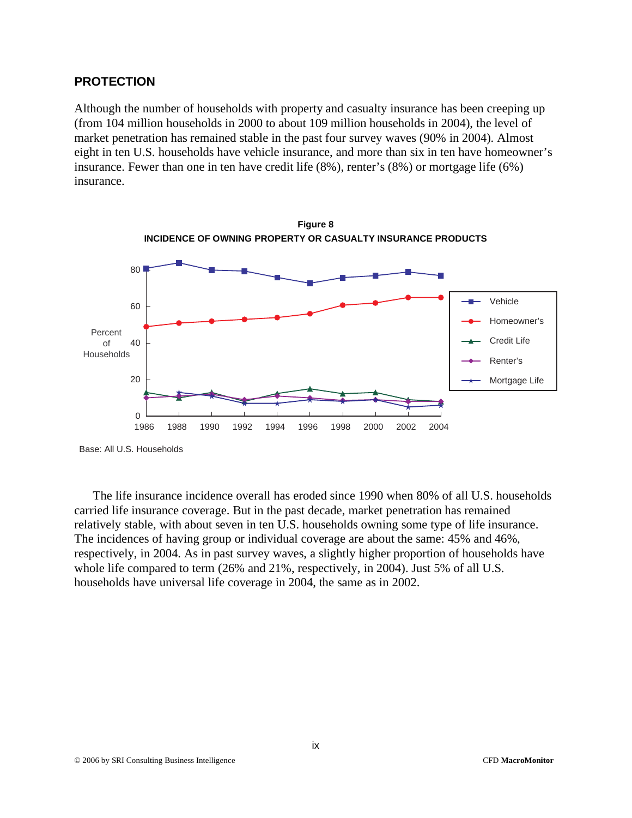#### **PROTECTION**

Although the number of households with property and casualty insurance has been creeping up (from 104 million households in 2000 to about 109 million households in 2004), the level of market penetration has remained stable in the past four survey waves (90% in 2004). Almost eight in ten U.S. households have vehicle insurance, and more than six in ten have homeowner's insurance. Fewer than one in ten have credit life (8%), renter's (8%) or mortgage life (6%) insurance.



Base: All U.S. Households

The life insurance incidence overall has eroded since 1990 when 80% of all U.S. households carried life insurance coverage. But in the past decade, market penetration has remained relatively stable, with about seven in ten U.S. households owning some type of life insurance. The incidences of having group or individual coverage are about the same: 45% and 46%, respectively, in 2004. As in past survey waves, a slightly higher proportion of households have whole life compared to term (26% and 21%, respectively, in 2004). Just 5% of all U.S. households have universal life coverage in 2004, the same as in 2002.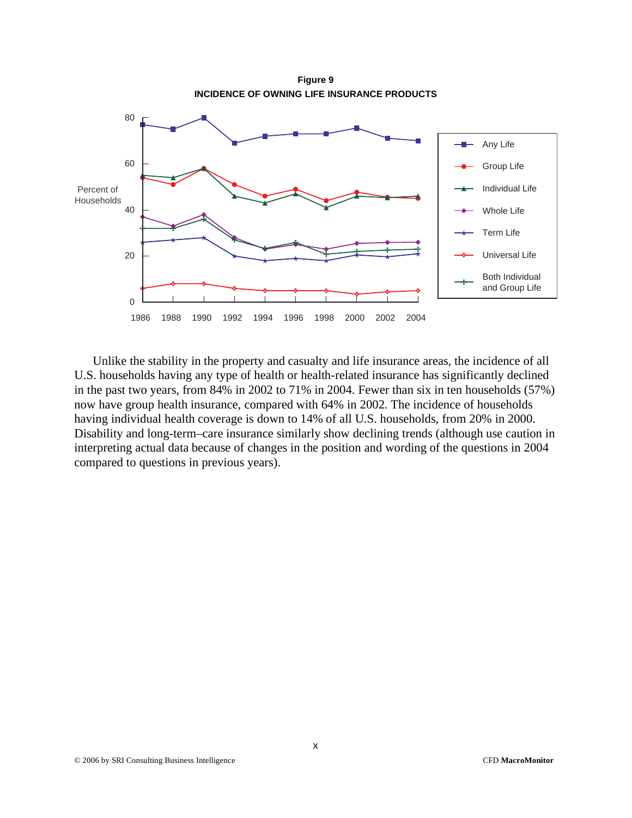**Figure 9 INCIDENCE OF OWNING LIFE INSURANCE PRODUCTS** 



Unlike the stability in the property and casualty and life insurance areas, the incidence of all U.S. households having any type of health or health-related insurance has significantly declined in the past two years, from 84% in 2002 to 71% in 2004. Fewer than six in ten households (57%) now have group health insurance, compared with 64% in 2002. The incidence of households having individual health coverage is down to 14% of all U.S. households, from 20% in 2000. Disability and long-term–care insurance similarly show declining trends (although use caution in interpreting actual data because of changes in the position and wording of the questions in 2004 compared to questions in previous years).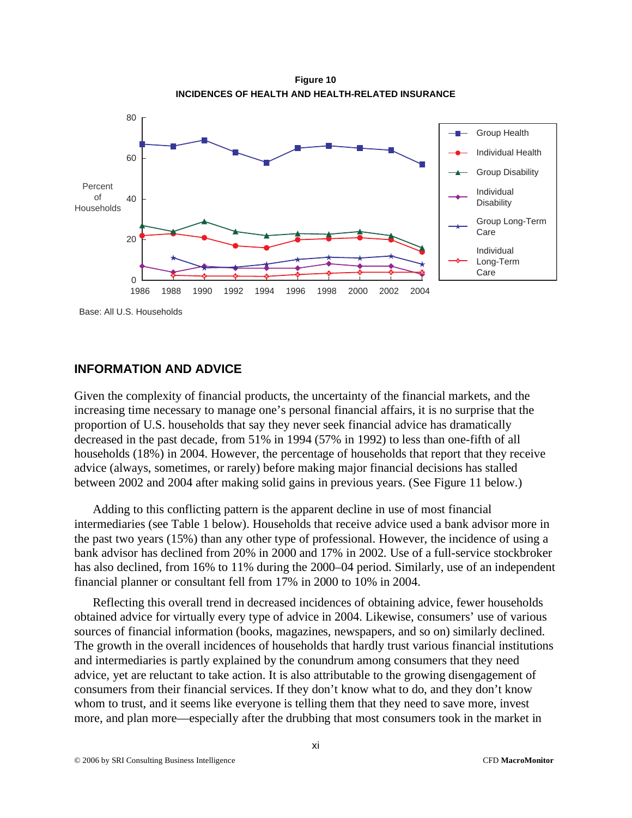**Figure 10 INCIDENCES OF HEALTH AND HEALTH-RELATED INSURANCE** 



Base: All U.S. Households

#### **INFORMATION AND ADVICE**

Given the complexity of financial products, the uncertainty of the financial markets, and the increasing time necessary to manage one's personal financial affairs, it is no surprise that the proportion of U.S. households that say they never seek financial advice has dramatically decreased in the past decade, from 51% in 1994 (57% in 1992) to less than one-fifth of all households (18%) in 2004. However, the percentage of households that report that they receive advice (always, sometimes, or rarely) before making major financial decisions has stalled between 2002 and 2004 after making solid gains in previous years. (See Figure 11 below.)

Adding to this conflicting pattern is the apparent decline in use of most financial intermediaries (see Table 1 below). Households that receive advice used a bank advisor more in the past two years (15%) than any other type of professional. However, the incidence of using a bank advisor has declined from 20% in 2000 and 17% in 2002. Use of a full-service stockbroker has also declined, from 16% to 11% during the 2000–04 period. Similarly, use of an independent financial planner or consultant fell from 17% in 2000 to 10% in 2004.

Reflecting this overall trend in decreased incidences of obtaining advice, fewer households obtained advice for virtually every type of advice in 2004. Likewise, consumers' use of various sources of financial information (books, magazines, newspapers, and so on) similarly declined. The growth in the overall incidences of households that hardly trust various financial institutions and intermediaries is partly explained by the conundrum among consumers that they need advice, yet are reluctant to take action. It is also attributable to the growing disengagement of consumers from their financial services. If they don't know what to do, and they don't know whom to trust, and it seems like everyone is telling them that they need to save more, invest more, and plan more—especially after the drubbing that most consumers took in the market in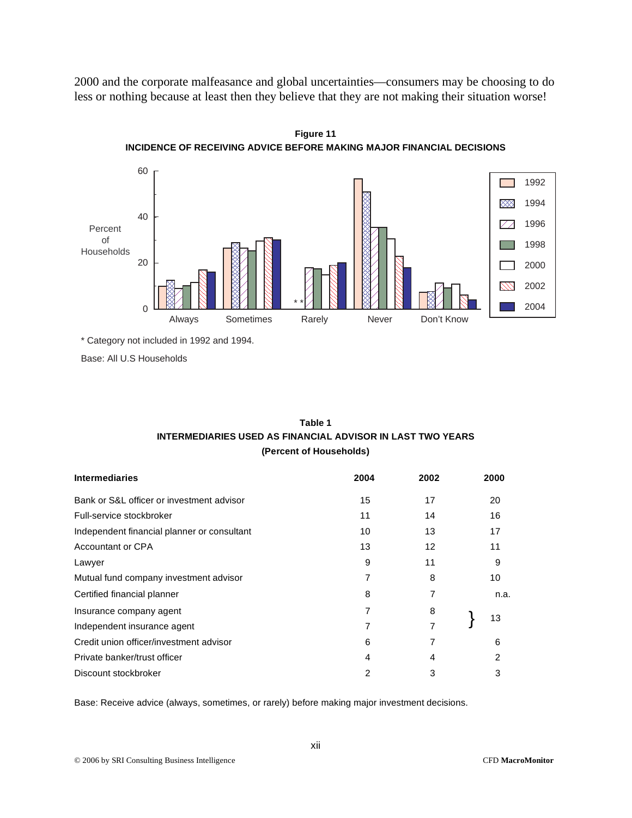2000 and the corporate malfeasance and global uncertainties—consumers may be choosing to do less or nothing because at least then they believe that they are not making their situation worse!



**Figure 11 INCIDENCE OF RECEIVING ADVICE BEFORE MAKING MAJOR FINANCIAL DECISIONS** 

\* Category not included in 1992 and 1994.

Base: All U.S Households

| Table 1                                                    |
|------------------------------------------------------------|
| INTERMEDIARIES USED AS FINANCIAL ADVISOR IN LAST TWO YEARS |
| (Percent of Households)                                    |

| <b>Intermediaries</b>                       | 2004 | 2002 | 2000 |
|---------------------------------------------|------|------|------|
| Bank or S&L officer or investment advisor   | 15   | 17   | 20   |
| Full-service stockbroker                    | 11   | 14   | 16   |
| Independent financial planner or consultant | 10   | 13   | 17   |
| Accountant or CPA                           | 13   | 12   | 11   |
| Lawyer                                      | 9    | 11   | 9    |
| Mutual fund company investment advisor      | 7    | 8    | 10   |
| Certified financial planner                 | 8    |      | n.a. |
| Insurance company agent                     | 7    | 8    |      |
| Independent insurance agent                 | 7    | 7    | 13   |
| Credit union officer/investment advisor     | 6    | 7    | 6    |
| Private banker/trust officer                | 4    | 4    | 2    |
| Discount stockbroker                        | 2    | 3    | 3    |

Base: Receive advice (always, sometimes, or rarely) before making major investment decisions.